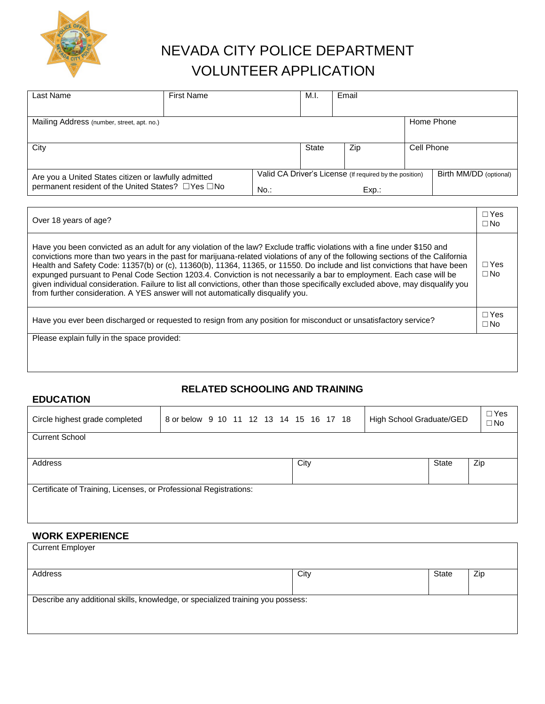

## NEVADA CITY POLICE DEPARTMENT VOLUNTEER APPLICATION

| Last Name                                                                                                 | <b>First Name</b> |                                                                            | M.I. | Email                  |            |
|-----------------------------------------------------------------------------------------------------------|-------------------|----------------------------------------------------------------------------|------|------------------------|------------|
| Mailing Address (number, street, apt. no.)                                                                |                   |                                                                            |      |                        | Home Phone |
| City                                                                                                      |                   | State                                                                      | Zip  | Cell Phone             |            |
| Are you a United States citizen or lawfully admitted<br>permanent resident of the United States? □Yes □No |                   | Valid CA Driver's License (If required by the position)<br>$No.$ :<br>Exp. |      | Birth MM/DD (optional) |            |

| Over 18 years of age?                                                                                                                                                                                                                                                                                                                                                                                                                                                                                                                                                                                                                                                                                                                    | $\Box$ Yes<br>$\Box$ No      |
|------------------------------------------------------------------------------------------------------------------------------------------------------------------------------------------------------------------------------------------------------------------------------------------------------------------------------------------------------------------------------------------------------------------------------------------------------------------------------------------------------------------------------------------------------------------------------------------------------------------------------------------------------------------------------------------------------------------------------------------|------------------------------|
| Have you been convicted as an adult for any violation of the law? Exclude traffic violations with a fine under \$150 and<br>convictions more than two years in the past for marijuana-related violations of any of the following sections of the California<br>Health and Safety Code: 11357(b) or (c), 11360(b), 11364, 11365, or 11550. Do include and list convictions that have been<br>expunged pursuant to Penal Code Section 1203.4. Conviction is not necessarily a bar to employment. Each case will be<br>given individual consideration. Failure to list all convictions, other than those specifically excluded above, may disqualify you<br>from further consideration. A YES answer will not automatically disqualify you. | $\Box$ Yes<br>$\Box$ No      |
| Have you ever been discharged or requested to resign from any position for misconduct or unsatisfactory service?                                                                                                                                                                                                                                                                                                                                                                                                                                                                                                                                                                                                                         | $\sqcap$ Yes<br>$\square$ No |
| Please explain fully in the space provided:                                                                                                                                                                                                                                                                                                                                                                                                                                                                                                                                                                                                                                                                                              |                              |
|                                                                                                                                                                                                                                                                                                                                                                                                                                                                                                                                                                                                                                                                                                                                          |                              |

## **RELATED SCHOOLING AND TRAINING**

| <b>EDUCATION</b>                                                  |                                         |      |                          |                         |
|-------------------------------------------------------------------|-----------------------------------------|------|--------------------------|-------------------------|
| Circle highest grade completed                                    | 8 or below 9 10 11 12 13 14 15 16 17 18 |      | High School Graduate/GED | $\Box$ Yes<br>$\Box$ No |
| <b>Current School</b>                                             |                                         |      |                          |                         |
|                                                                   |                                         |      |                          |                         |
| Address                                                           |                                         | City | <b>State</b>             | Zip                     |
|                                                                   |                                         |      |                          |                         |
| Certificate of Training, Licenses, or Professional Registrations: |                                         |      |                          |                         |
|                                                                   |                                         |      |                          |                         |
|                                                                   |                                         |      |                          |                         |

## **WORK EXPERIENCE**

| <b>Current Employer</b>                                                         |      |       |     |  |  |
|---------------------------------------------------------------------------------|------|-------|-----|--|--|
| Address                                                                         | City | State | Zip |  |  |
| Describe any additional skills, knowledge, or specialized training you possess: |      |       |     |  |  |
|                                                                                 |      |       |     |  |  |